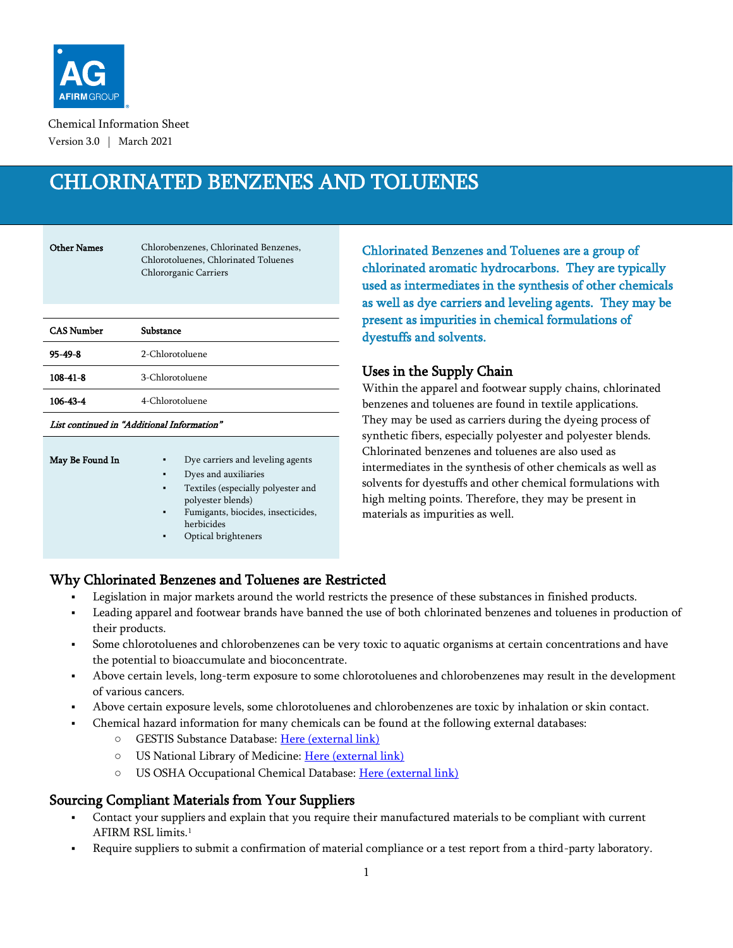

Chemical Information Sheet Version 3.0 | March 2021

# CHLORINATED BENZENES AND TOLUENES

Other Names Chlorobenzenes, Chlorinated Benzenes, Chlorotoluenes, Chlorinated Toluenes Chlororganic Carriers

| <b>CAS Number</b> | Substance       |
|-------------------|-----------------|
| $95 - 49 - 8$     | 2-Chlorotoluene |
| $108 - 41 - 8$    | 3-Chlorotoluene |
| 106-43-4          | 4-Chlorotoluene |
|                   |                 |

List continued in "Additional Information"

| ٠ | Dye carriers and leveling agents                        |
|---|---------------------------------------------------------|
| ٠ | Dyes and auxiliaries                                    |
| ٠ | Textiles (especially polyester and<br>polyester blends) |
| ٠ | Fumigants, biocides, insecticides,<br>herbicides        |
| ٠ | Optical brighteners                                     |
|   |                                                         |

Chlorinated Benzenes and Toluenes are a group of chlorinated aromatic hydrocarbons. They are typically used as intermediates in the synthesis of other chemicals as well as dye carriers and leveling agents. They may be present as impurities in chemical formulations of dyestuffs and solvents.

## Uses in the Supply Chain

Within the apparel and footwear supply chains, chlorinated benzenes and toluenes are found in textile applications. They may be used as carriers during the dyeing process of synthetic fibers, especially polyester and polyester blends. Chlorinated benzenes and toluenes are also used as intermediates in the synthesis of other chemicals as well as solvents for dyestuffs and other chemical formulations with high melting points. Therefore, they may be present in materials as impurities as well.

# Why Chlorinated Benzenes and Toluenes are Restricted

- Legislation in major markets around the world restricts the presence of these substances in finished products.
- Leading apparel and footwear brands have banned the use of both chlorinated benzenes and toluenes in production of their products.
- Some chlorotoluenes and chlorobenzenes can be very toxic to aquatic organisms at certain concentrations and have the potential to bioaccumulate and bioconcentrate.
- Above certain levels, long-term exposure to some chlorotoluenes and chlorobenzenes may result in the development of various cancers.
- Above certain exposure levels, some chlorotoluenes and chlorobenzenes are toxic by inhalation or skin contact.
- Chemical hazard information for many chemicals can be found at the following external databases:
	- GESTIS Substance Database: [Here \(external link\)](https://gestis-database.dguv.de/search)
	- O US National Library of Medicine: [Here \(external link\)](https://pubchem.ncbi.nlm.nih.gov/)
	- O US OSHA Occupational Chemical Database: [Here \(external link\)](https://www.osha.gov/chemicaldata/index.html)

# Sourcing Compliant Materials from Your Suppliers

- Contact your suppliers and explain that you require their manufactured materials to be compliant with current AFIRM RSL limits. 1
- Require suppliers to submit a confirmation of material compliance or a test report from a third-party laboratory.